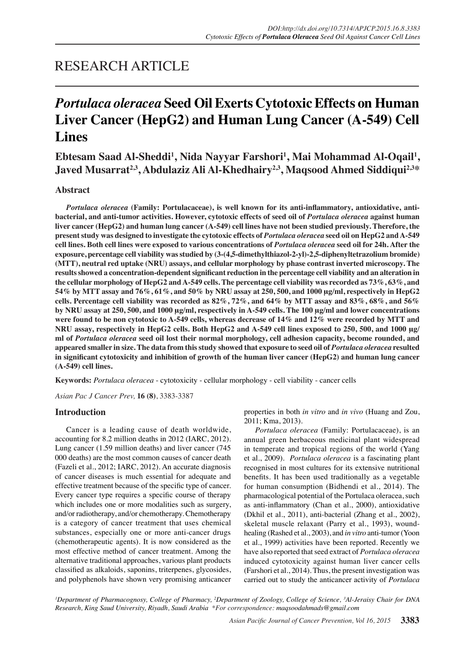## RESEARCH ARTICLE

# *Portulaca oleracea* **Seed Oil Exerts Cytotoxic Effects on Human Liver Cancer (HepG2) and Human Lung Cancer (A-549) Cell Lines**

Ebtesam Saad Al-Sheddi<sup>1</sup>, Nida Nayyar Farshori<sup>1</sup>, Mai Mohammad Al-Oqail<sup>1</sup>, **Javed Musarrat2,3, Abdulaziz Ali Al-Khedhairy2,3, Maqsood Ahmed Siddiqui2,3\***

## **Abstract**

*Portulaca oleracea* **(Family: Portulacaceae), is well known for its anti-inflammatory, antioxidative, antibacterial, and anti-tumor activities. However, cytotoxic effects of seed oil of** *Portulaca oleracea* **against human liver cancer (HepG2) and human lung cancer (A-549) cell lines have not been studied previously. Therefore, the present study was designed to investigate the cytotoxic effects of** *Portulaca oleracea* **seed oil on HepG2 and A-549 cell lines. Both cell lines were exposed to various concentrations of** *Portulaca oleracea* **seed oil for 24h. After the exposure, percentage cell viability was studied by (3-(4,5-dimethylthiazol-2-yl)-2,5-diphenyltetrazolium bromide) (MTT), neutral red uptake (NRU) assays, and cellular morphology by phase contrast inverted microscopy. The results showed a concentration-dependent significant reduction in the percentage cell viability and an alteration in the cellular morphology of HepG2 and A-549 cells. The percentage cell viability was recorded as 73%, 63%, and 54% by MTT assay and 76%, 61%, and 50% by NRU assay at 250, 500, and 1000 μg/ml, respectively in HepG2 cells. Percentage cell viability was recorded as 82%, 72%, and 64% by MTT assay and 83%, 68%, and 56% by NRU assay at 250, 500, and 1000 μg/ml, respectively in A-549 cells. The 100 μg/ml and lower concentrations were found to be non cytotoxic to A-549 cells, whereas decrease of 14% and 12% were recorded by MTT and NRU assay, respectively in HepG2 cells. Both HepG2 and A-549 cell lines exposed to 250, 500, and 1000 μg/ ml of** *Portulaca oleracea* **seed oil lost their normal morphology, cell adhesion capacity, become rounded, and appeared smaller in size. The data from this study showed that exposure to seed oil of** *Portulaca oleracea* **resulted in significant cytotoxicity and inhibition of growth of the human liver cancer (HepG2) and human lung cancer (A-549) cell lines.**

**Keywords:** *Portulaca oleracea* - cytotoxicity - cellular morphology - cell viability - cancer cells

*Asian Pac J Cancer Prev,* **16 (8)**, 3383-3387

## **Introduction**

Cancer is a leading cause of death worldwide, accounting for 8.2 million deaths in 2012 (IARC, 2012). Lung cancer (1.59 million deaths) and liver cancer (745 000 deaths) are the most common causes of cancer death (Fazeli et al., 2012; IARC, 2012). An accurate diagnosis of cancer diseases is much essential for adequate and effective treatment because of the specific type of cancer. Every cancer type requires a specific course of therapy which includes one or more modalities such as surgery, and/or radiotherapy, and/or chemotherapy. Chemotherapy is a category of cancer treatment that uses chemical substances, especially one or more anti-cancer drugs (chemotherapeutic agents). It is now considered as the most effective method of cancer treatment. Among the alternative traditional approaches, various plant products classified as alkaloids, saponins, triterpenes, glycosides, and polyphenols have shown very promising anticancer properties in both *in vitro* and *in vivo* (Huang and Zou, 2011; Kma, 2013).

*Portulaca oleracea* (Family: Portulacaceae), is an annual green herbaceous medicinal plant widespread in temperate and tropical regions of the world (Yang et al., 2009). *Portulaca oleracea* is a fascinating plant recognised in most cultures for its extensive nutritional benefits. It has been used traditionally as a vegetable for human consumption (Bidhendi et al., 2014). The pharmacological potential of the Portulaca oleracea, such as anti-inflammatory (Chan et al., 2000), antioxidative (Dkhil et al., 2011), anti-bacterial (Zhang et al., 2002), skeletal muscle relaxant (Parry et al., 1993), woundhealing (Rashed et al., 2003), and *in vitro* anti-tumor (Yoon et al., 1999) activities have been reported. Recently we have also reported that seed extract of *Portulaca oleracea*  induced cytotoxicity against human liver cancer cells (Farshori et al., 2014). Thus, the present investigation was carried out to study the anticancer activity of *Portulaca* 

*1 Department of Pharmacognosy, College of Pharmacy, 2 Department of Zoology, College of Science, 3 Al-Jeraisy Chair for DNA Research, King Saud University, Riyadh, Saudi Arabia \*For correspondence: maqsoodahmads@gmail.com*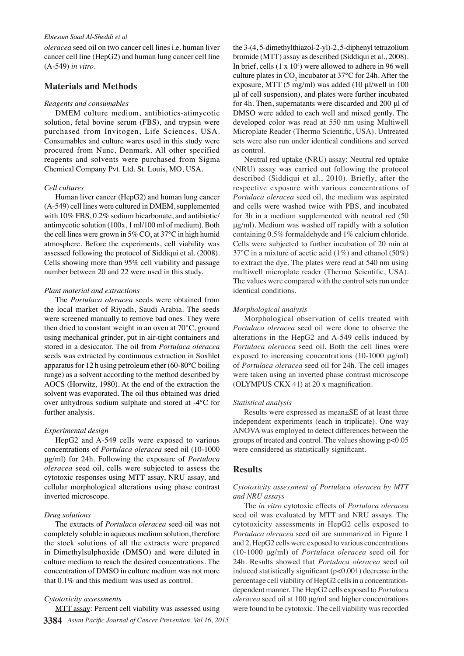#### *Ebtesam Saad Al-Sheddi et al*

*oleracea* seed oil on two cancer cell lines i.e. human liver cancer cell line (HepG2) and human lung cancer cell line (A-549) *in vitro*.

## **Materials and Methods**

#### *Reagents and consumables*

DMEM culture medium, antibiotics-atimycotic solution, fetal bovine serum (FBS), and trypsin were purchased from Invitogen, Life Sciences, USA. Consumables and culture wares used in this study were procured from Nunc, Denmark. All other specified reagents and solvents were purchased from Sigma Chemical Company Pvt. Ltd. St. Louis, MO, USA.

#### *Cell cultures*

Human liver cancer (HepG2) and human lung cancer (A-549) cell lines were cultured in DMEM, supplemented with 10% FBS, 0.2% sodium bicarbonate, and antibiotic/ antimycotic solution (100x, 1 ml/100 ml of medium). Both the cell lines were grown in 5%  $CO_2$  at 37°C in high humid atmosphere. Before the experiments, cell viability was assessed following the protocol of Siddiqui et al. (2008). Cells showing more than 95% cell viability and passage number between 20 and 22 were used in this study.

#### *Plant material and extractions*

The *Portulaca oleracea* seeds were obtained from the local market of Riyadh, Saudi Arabia. The seeds were screened manually to remove bad ones. They were then dried to constant weight in an oven at 70°C, ground using mechanical grinder, put in air-tight containers and stored in a desiccator. The oil from *Portulaca oleracea*  seeds was extracted by continuous extraction in Soxhlet apparatus for 12 h using petroleum ether (60-80°C boiling range) as a solvent according to the method described by AOCS (Horwitz, 1980). At the end of the extraction the solvent was evaporated. The oil thus obtained was dried over anhydrous sodium sulphate and stored at -4°C for further analysis.

#### *Experimental design*

HepG2 and A-549 cells were exposed to various concentrations of *Portulaca oleracea* seed oil (10-1000 μg/ml) for 24h. Following the exposure of *Portulaca oleracea* seed oil, cells were subjected to assess the cytotoxic responses using MTT assay, NRU assay, and cellular morphological alterations using phase contrast inverted microscope.

#### *Drug solutions*

The extracts of *Portulaca oleracea* seed oil was not completely soluble in aqueous medium solution, therefore the stock solutions of all the extracts were prepared in Dimethylsulphoxide (DMSO) and were diluted in culture medium to reach the desired concentrations. The concentration of DMSO in culture medium was not more that 0.1% and this medium was used as control.

#### *Cytotoxicity assessments*

the 3-(4, 5-dimethylthiazol-2-yl)-2, 5-diphenyl tetrazolium bromide (MTT) assay as described (Siddiqui et al., 2008). In brief, cells  $(1 \times 10^4)$  were allowed to adhere in 96 well culture plates in  $CO_2$  incubator at 37°C for 24h. After the exposure, MTT (5 mg/ml) was added (10 μl/well in 100 μl of cell suspension), and plates were further incubated for 4h. Then, supernatants were discarded and 200 μl of DMSO were added to each well and mixed gently. The developed color was read at 550 nm using Multiwell Microplate Reader (Thermo Scientific, USA). Untreated sets were also run under identical conditions and served as control.

Neutral red uptake (NRU) assay: Neutral red uptake (NRU) assay was carried out following the protocol described (Siddiqui et al., 2010). Briefly, after the respective exposure with various concentrations of *Portulaca oleracea* seed oil, the medium was aspirated and cells were washed twice with PBS, and incubated for 3h in a medium supplemented with neutral red (50 μg/ml). Medium was washed off rapidly with a solution containing 0.5% formaldehyde and 1% calcium chloride. Cells were subjected to further incubation of 20 min at 37°C in a mixture of acetic acid (1%) and ethanol (50%) to extract the dye. The plates were read at 540 nm using multiwell microplate reader (Thermo Scientific, USA). The values were compared with the control sets run under identical conditions.

#### *Morphological analysis*

Morphological observation of cells treated with *Portulaca oleracea* seed oil were done to observe the alterations in the HepG2 and A-549 cells induced by *Portulaca oleracea* seed oil. Both the cell lines were exposed to increasing concentrations (10-1000 μg/ml) of *Portulaca oleracea* seed oil for 24h. The cell images were taken using an inverted phase contrast microscope (OLYMPUS CKX 41) at 20 x magnification.

#### *Statistical analysis*

Results were expressed as mean±SE of at least three independent experiments (each in triplicate). One way ANOVA was employed to detect differences between the groups of treated and control. The values showing p<0.05 were considered as statistically significant.

#### **Results**

## *Cytotoxicity assessment of Portulaca oleracea by MTT and NRU assays*

The *in vitro* cytotoxic effects of *Portulaca oleracea*  seed oil was evaluated by MTT and NRU assays. The cytotoxicity assessments in HepG2 cells exposed to *Portulaca oleracea* seed oil are summarized in Figure 1 and 2. HepG2 cells were exposed to various concentrations (10-1000 μg/ml) of *Portulaca oleracea* seed oil for 24h. Results showed that *Portulaca oleracea* seed oil induced statistically significant (p<0.001) decrease in the percentage cell viability of HepG2 cells in a concentrationdependent manner. The HepG2 cells exposed to *Portulaca oleracea* seed oil at 100 μg/ml and higher concentrations were found to be cytotoxic. The cell viability was recorded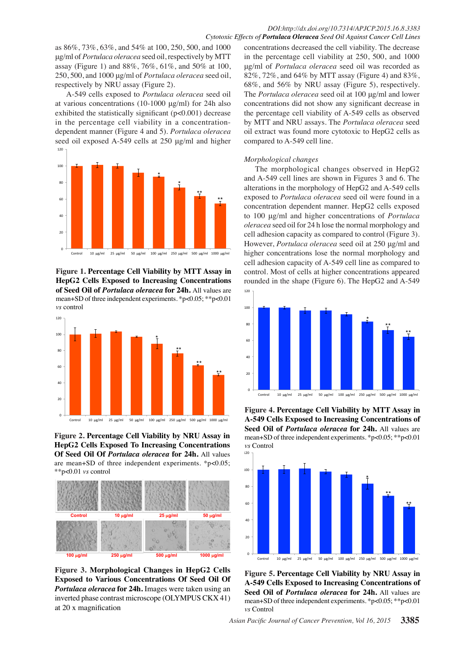as 86%, 73%, 63%, and 54% at 100, 250, 500, and 1000 μg/ml of *Portulaca oleracea* seed oil, respectively by MTT assay (Figure 1) and 88%, 76%, 61%, and 50% at 100, 250, 500, and 1000 μg/ml of *Portulaca oleracea* seed oil, respectively by NRU assay (Figure 2).

A-549 cells exposed to *Portulaca oleracea* seed oil at various concentrations (10-1000 μg/ml) for 24h also exhibited the statistically significant (p<0.001) decrease in the percentage cell viability in a concentrationdependent manner (Figure 4 and 5). *Portulaca oleracea*  seed oil exposed A-549 cells at 250 μg/ml and higher 120 



**Figure 1. Percentage Cell Viability by MTT Assay in HepG2 Cells Exposed to Increasing Concentrations of Seed Oil of** *Portulaca oleracea* **for 24h.** All values are mean+SD of three independent experiments. \*p<0.05; \*\*p<0.01 *vs* control



**Figure 2. Percentage Cell Viability by NRU Assay in HepG2 Cells Exposed To Increasing Concentrations Of Seed Oil Of** *Portulaca oleracea* **for 24h.** All values are mean+SD of three independent experiments. \*p<0.05; \*\*p<0.01 *vs* control



**Figure 3. Morphological Changes in HepG2 Cells Exposed to Various Concentrations Of Seed Oil Of**  *Portulaca oleracea* **for 24h.** Images were taken using an inverted phase contrast microscope (OLYMPUS CKX 41) at 20 x magnification

concentrations decreased the cell viability. The decrease in the percentage cell viability at 250, 500, and 1000 μg/ml of *Portulaca oleracea* seed oil was recorded as 82%, 72%, and 64% by MTT assay (Figure 4) and 83%, 68%, and 56% by NRU assay (Figure 5), respectively. The *Portulaca oleracea* seed oil at 100 μg/ml and lower concentrations did not show any significant decrease in the percentage cell viability of A-549 cells as observed by MTT and NRU assays. The *Portulaca oleracea* seed oil extract was found more cytotoxic to HepG2 cells as compared to A-549 cell line.

#### *Morphological changes*

The morphological changes observed in HepG2 and A-549 cell lines are shown in Figures 3 and 6. The alterations in the morphology of HepG2 and A-549 cells exposed to *Portulaca oleracea* seed oil were found in a concentration dependent manner. HepG2 cells exposed to 100 μg/ml and higher concentrations of *Portulaca oleracea* seed oil for 24 h lose the normal morphology and cell adhesion capacity as compared to control (Figure 3). However, *Portulaca oleracea* seed oil at 250 μg/ml and higher concentrations lose the normal morphology and cell adhesion capacity of A-549 cell line as compared to control. Most of cells at higher concentrations appeared rounded in the shape (Figure 6). The HepG2 and A-549



**Figure 4. Percentage Cell Viability by MTT Assay in A-549 Cells Exposed to Increasing Concentrations of Seed Oil of** *Portulaca oleracea* **for 24h.** All values are mean+SD of three independent experiments. \*p<0.05; \*\*p<0.01 *vs* Control



**Figure 5. Percentage Cell Viability by NRU Assay in A-549 Cells Exposed to Increasing Concentrations of Seed Oil of** *Portulaca oleracea* **for 24h.** All values are mean+SD of three independent experiments. \*p<0.05; \*\*p<0.01 *vs* Control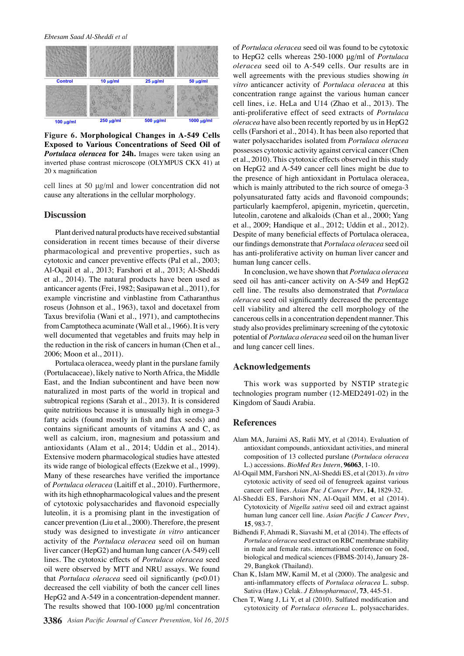

Figure 6. Morphological Changes in A-549 Cells **Exposed to Various Concentrations of Seed Oil of** *Portulaca oleracea* **for 24h.** Images were taken using an inverted phase contrast microscope (OLYMPUS CKX 41) at 20 x magnification

cell lines at 50 μg/ml and lower concentration did not cause any alterations in the cellular morphology.

#### **Discussion**

Plant derived natural products have received substantial consideration in recent times because of their diverse pharmacological and preventive properties, such as cytotoxic and cancer preventive effects (Pal et al., 2003; Al-Oqail et al., 2013; Farshori et al., 2013; Al-Sheddi et al., 2014). The natural products have been used as anticancer agents (Frei, 1982; Sasipawan et al., 2011), for example vincristine and vinblastine from Catharanthus roseus (Johnson et al., 1963), taxol and docetaxel from Taxus brevifolia (Wani et al., 1971), and camptothecins from Camptotheca acuminate (Wall et al., 1966). It is very well documented that vegetables and fruits may help in the reduction in the risk of cancers in human (Chen et al., 2006; Moon et al., 2011).

Portulaca oleracea, weedy plant in the purslane family (Portulacaceae), likely native to North Africa, the Middle East, and the Indian subcontinent and have been now naturalized in most parts of the world in tropical and subtropical regions (Sarah et al., 2013). It is considered quite nutritious because it is unusually high in omega-3 fatty acids (found mostly in fish and flax seeds) and contains significant amounts of vitamins A and C, as well as calcium, iron, magnesium and potassium and antioxidants (Alam et al., 2014; Uddin et al., 2014). Extensive modern pharmacological studies have attested its wide range of biological effects (Ezekwe et al., 1999). Many of these researches have verified the importance of *Portulaca oleracea* (Laitiff et al., 2010). Furthermore, with its high ethnopharmacological values and the present of cytotoxic polysaccharides and flavonoid especially luteolin, it is a promising plant in the investigation of cancer prevention (Liu et al., 2000). Therefore, the present study was designed to investigate *in vitro* anticancer activity of the *Portulaca oleracea* seed oil on human liver cancer (HepG2) and human lung cancer (A-549) cell lines. The cytotoxic effects of *Portulaca oleracea* seed oil were observed by MTT and NRU assays. We found that *Portulaca oleracea* seed oil significantly (p<0.01) decreased the cell viability of both the cancer cell lines HepG2 and A-549 in a concentration-dependent manner. The results showed that 100-1000 μg/ml concentration

of *Portulaca oleracea* seed oil was found to be cytotoxic to HepG2 cells whereas 250-1000 μg/ml of *Portulaca oleracea* seed oil to A-549 cells. Our results are in well agreements with the previous studies showing *in vitro* anticancer activity of *Portulaca oleracea* at this concentration range against the various human cancer cell lines, i.e. HeLa and U14 (Zhao et al., 2013). The anti-proliferative effect of seed extracts of *Portulaca oleracea* have also been recently reported by us in HepG2 cells (Farshori et al., 2014). It has been also reported that water polysaccharides isolated from *Portulaca oleracea*  possesses cytotoxic activity against cervical cancer (Chen et al., 2010). This cytotoxic effects observed in this study on HepG2 and A-549 cancer cell lines might be due to the presence of high antioxidant in Portulaca oleracea, which is mainly attributed to the rich source of omega-3 polyunsaturated fatty acids and flavonoid compounds; particularly kaempferol, apigenin, myricetin, quercetin, luteolin, carotene and alkaloids (Chan et al., 2000; Yang et al., 2009; Handique et al., 2012; Uddin et al., 2012). Despite of many beneficial effects of Portulaca oleracea, our findings demonstrate that *Portulaca oleracea* seed oil has anti-proliferative activity on human liver cancer and human lung cancer cells.

In conclusion, we have shown that *Portulaca oleracea*  seed oil has anti-cancer activity on A-549 and HepG2 cell line. The results also demonstrated that *Portulaca oleracea* seed oil significantly decreased the percentage cell viability and altered the cell morphology of the cancerous cells in a concentration dependent manner. This study also provides preliminary screening of the cytotoxic potential of *Portulaca oleracea* seed oil on the human liver and lung cancer cell lines.

## **Acknowledgements**

This work was supported by NSTIP strategic technologies program number (12-MED2491-02) in the Kingdom of Saudi Arabia.

## **References**

- Alam MA, Juraimi AS, Rafii MY, et al (2014). Evaluation of antioxidant compounds, antioxidant activities, and mineral composition of 13 collected purslane (*Portulaca oleracea*  L.) accessions. *BioMed Res Intern*, **96063**, 1-10.
- Al-Oqail MM, Farshori NN, Al-Sheddi ES, et al (2013). *In vitro* cytotoxic activity of seed oil of fenugreek against various cancer cell lines. *Asian Pac J Cancer Prev*, **14**, 1829-32.
- Al-Sheddi ES, Farshori NN, Al-Oqail MM, et al (2014). Cytotoxicity of *Nigella sativa* seed oil and extract against human lung cancer cell line. *Asian Pacific J Cancer Prev*, **15**, 983-7.
- Bidhendi F, Ahmadi R, Siavashi M, et al (2014). The effects of *Portulaca oleracea* seed extract on RBC membrane stability in male and female rats. international conference on food, biological and medical sciences (FBMS-2014), January 28- 29, Bangkok (Thailand).
- Chan K, Islam MW, Kamil M, et al (2000). The analgesic and anti-inflammatory effects of *Portulaca oleracea* L. subsp. Sativa (Haw.) Celak. *J Ethnopharmacol*, **73**, 445-51.
- Chen T, Wang J, Li Y, et al (2010). Sulfated modification and cytotoxicity of *Portulaca oleracea* L. polysaccharides.